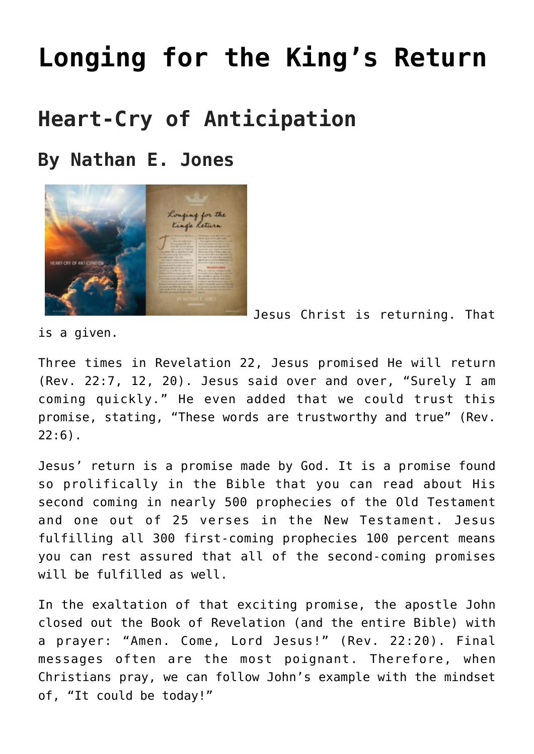# **[Longing for the King's Return](https://www.prayerleader.com/longing-for-the-kings-return/)**

## **Heart-Cry of Anticipation**

### **By Nathan E. Jones**



Jesus Christ is returning. That

is a given.

Three times in Revelation 22, Jesus promised He will return (Rev. 22:7, 12, 20). Jesus said over and over, "Surely I am coming quickly." He even added that we could trust this promise, stating, "These words are trustworthy and true" (Rev.  $22:6$ ).

Jesus' return is a promise made by God. It is a promise found so prolifically in the Bible that you can read about His second coming in nearly 500 prophecies of the Old Testament and one out of 25 verses in the New Testament. Jesus fulfilling all 300 first-coming prophecies 100 percent means you can rest assured that all of the second-coming promises will be fulfilled as well.

In the exaltation of that exciting promise, the apostle John closed out the Book of Revelation (and the entire Bible) with a prayer: "Amen. Come, Lord Jesus!" (Rev. 22:20). Final messages often are the most poignant. Therefore, when Christians pray, we can follow John's example with the mindset of, "It could be today!"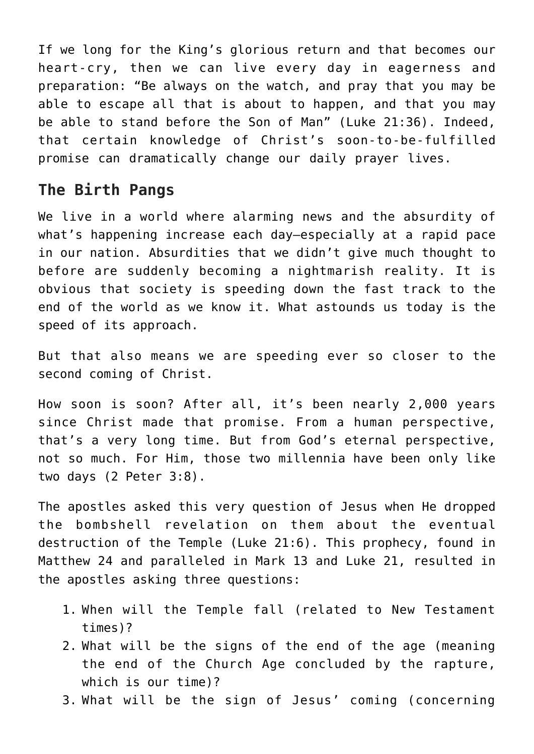If we long for the King's glorious return and that becomes our heart-cry, then we can live every day in eagerness and preparation: "Be always on the watch, and pray that you may be able to escape all that is about to happen, and that you may be able to stand before the Son of Man" (Luke 21:36). Indeed, that certain knowledge of Christ's soon-to-be-fulfilled promise can dramatically change our daily prayer lives.

#### **The Birth Pangs**

We live in a world where alarming news and the absurdity of what's happening increase each day—especially at a rapid pace in our nation. Absurdities that we didn't give much thought to before are suddenly becoming a nightmarish reality. It is obvious that society is speeding down the fast track to the end of the world as we know it. What astounds us today is the speed of its approach.

But that also means we are speeding ever so closer to the second coming of Christ.

How soon is soon? After all, it's been nearly 2,000 years since Christ made that promise. From a human perspective, that's a very long time. But from God's eternal perspective, not so much. For Him, those two millennia have been only like two days (2 Peter 3:8).

The apostles asked this very question of Jesus when He dropped the bombshell revelation on them about the eventual destruction of the Temple (Luke 21:6). This prophecy, found in Matthew 24 and paralleled in Mark 13 and Luke 21, resulted in the apostles asking three questions:

- 1. When will the Temple fall (related to New Testament times)?
- 2. What will be the signs of the end of the age (meaning the end of the Church Age concluded by the rapture, which is our time)?
- 3. What will be the sign of Jesus' coming (concerning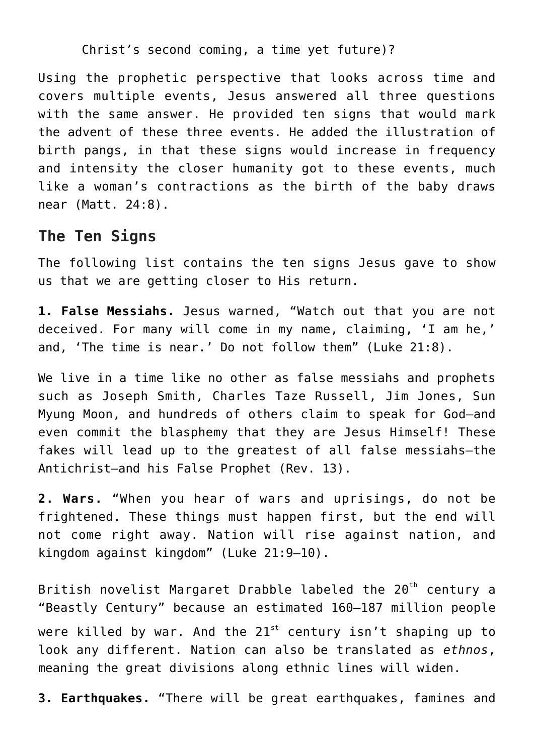Christ's second coming, a time yet future)?

Using the prophetic perspective that looks across time and covers multiple events, Jesus answered all three questions with the same answer. He provided ten signs that would mark the advent of these three events. He added the illustration of birth pangs, in that these signs would increase in frequency and intensity the closer humanity got to these events, much like a woman's contractions as the birth of the baby draws near (Matt. 24:8).

#### **The Ten Signs**

The following list contains the ten signs Jesus gave to show us that we are getting closer to His return.

**1. False Messiahs.** Jesus warned, "Watch out that you are not deceived. For many will come in my name, claiming, 'I am he,' and, 'The time is near.' Do not follow them" (Luke 21:8).

We live in a time like no other as false messiahs and prophets such as Joseph Smith, Charles Taze Russell, Jim Jones, Sun Myung Moon, and hundreds of others claim to speak for God—and even commit the blasphemy that they are Jesus Himself! These fakes will lead up to the greatest of all false messiahs—the Antichrist—and his False Prophet (Rev. 13).

**2. Wars.** "When you hear of wars and uprisings, do not be frightened. These things must happen first, but the end will not come right away. Nation will rise against nation, and kingdom against kingdom" (Luke 21:9–10).

British novelist Margaret Drabble labeled the 20<sup>th</sup> century a "Beastly Century" because an estimated 160–187 million people were killed by war. And the  $21^{st}$  century isn't shaping up to look any different. Nation can also be translated as *ethnos*, meaning the great divisions along ethnic lines will widen.

**3. Earthquakes.** "There will be great earthquakes, famines and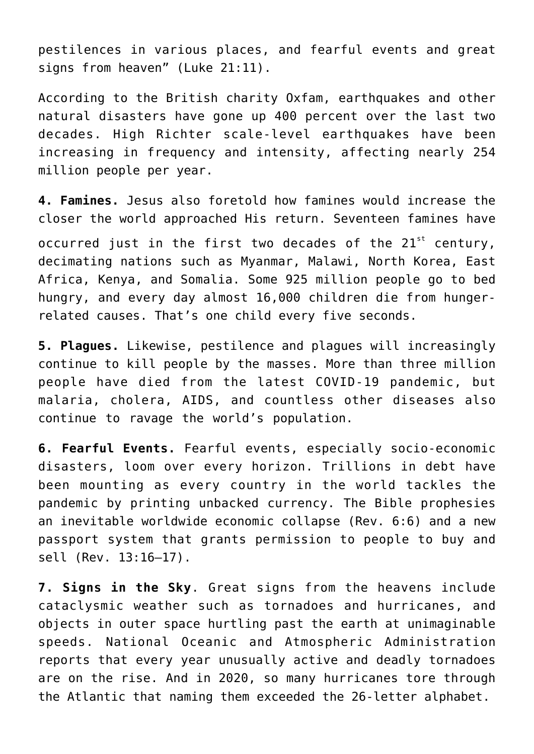pestilences in various places, and fearful events and great signs from heaven" (Luke 21:11).

According to the British charity Oxfam, earthquakes and other natural disasters have gone up 400 percent over the last two decades. High Richter scale-level earthquakes have been increasing in frequency and intensity, affecting nearly 254 million people per year.

**4. Famines.** Jesus also foretold how famines would increase the closer the world approached His return. Seventeen famines have occurred just in the first two decades of the  $21^{st}$  century, decimating nations such as Myanmar, Malawi, North Korea, East Africa, Kenya, and Somalia. Some 925 million people go to bed hungry, and every day almost 16,000 children die from hungerrelated causes. That's one child every five seconds.

**5. Plagues.** Likewise, pestilence and plagues will increasingly continue to kill people by the masses. More than three million people have died from the latest COVID-19 pandemic, but malaria, cholera, AIDS, and countless other diseases also continue to ravage the world's population.

**6. Fearful Events.** Fearful events, especially socio-economic disasters, loom over every horizon. Trillions in debt have been mounting as every country in the world tackles the pandemic by printing unbacked currency. The Bible prophesies an inevitable worldwide economic collapse (Rev. 6:6) and a new passport system that grants permission to people to buy and sell (Rev. 13:16–17).

**7. Signs in the Sky**. Great signs from the heavens include cataclysmic weather such as tornadoes and hurricanes, and objects in outer space hurtling past the earth at unimaginable speeds. National Oceanic and Atmospheric Administration reports that every year unusually active and deadly tornadoes are on the rise. And in 2020, so many hurricanes tore through the Atlantic that naming them exceeded the 26-letter alphabet.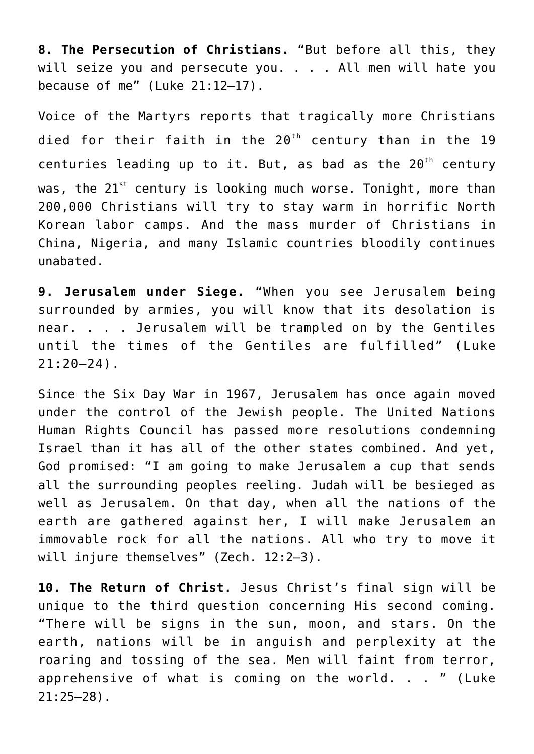**8. The Persecution of Christians.** "But before all this, they will seize you and persecute you. . . . All men will hate you because of me" (Luke 21:12–17).

Voice of the Martyrs reports that tragically more Christians died for their faith in the  $20<sup>th</sup>$  century than in the 19 centuries leading up to it. But, as bad as the  $20<sup>th</sup>$  century was, the  $21^{st}$  century is looking much worse. Tonight, more than 200,000 Christians will try to stay warm in horrific North Korean labor camps. And the mass murder of Christians in China, Nigeria, and many Islamic countries bloodily continues unabated.

**9. Jerusalem under Siege.** "When you see Jerusalem being surrounded by armies, you will know that its desolation is near. . . . Jerusalem will be trampled on by the Gentiles until the times of the Gentiles are fulfilled" (Luke 21:20–24).

Since the Six Day War in 1967, Jerusalem has once again moved under the control of the Jewish people. The United Nations Human Rights Council has passed more resolutions condemning Israel than it has all of the other states combined. And yet, God promised: "I am going to make Jerusalem a cup that sends all the surrounding peoples reeling. Judah will be besieged as well as Jerusalem. On that day, when all the nations of the earth are gathered against her, I will make Jerusalem an immovable rock for all the nations. All who try to move it will injure themselves" (Zech. 12:2-3).

**10. The Return of Christ.** Jesus Christ's final sign will be unique to the third question concerning His second coming. "There will be signs in the sun, moon, and stars. On the earth, nations will be in anguish and perplexity at the roaring and tossing of the sea. Men will faint from terror, apprehensive of what is coming on the world. . . " (Luke 21:25–28).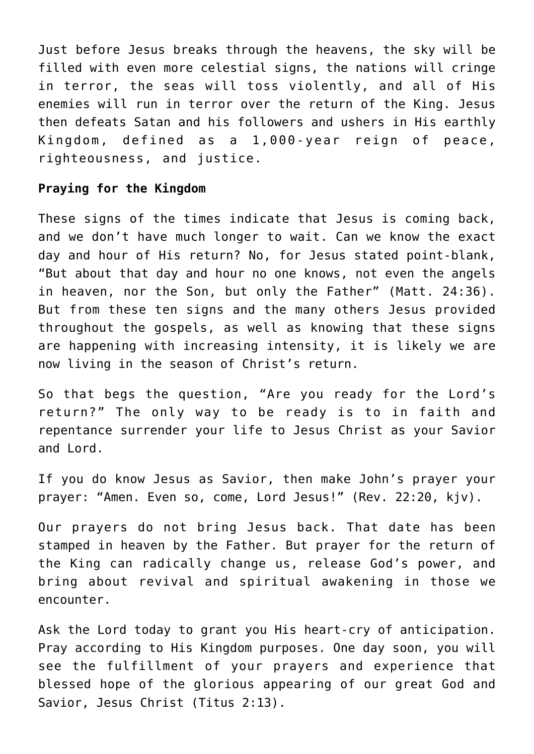Just before Jesus breaks through the heavens, the sky will be filled with even more celestial signs, the nations will cringe in terror, the seas will toss violently, and all of His enemies will run in terror over the return of the King. Jesus then defeats Satan and his followers and ushers in His earthly Kingdom, defined as a 1,000-year reign of peace, righteousness, and justice.

#### **Praying for the Kingdom**

These signs of the times indicate that Jesus is coming back, and we don't have much longer to wait. Can we know the exact day and hour of His return? No, for Jesus stated point-blank, "But about that day and hour no one knows, not even the angels in heaven, nor the Son, but only the Father" (Matt. 24:36). But from these ten signs and the many others Jesus provided throughout the gospels, as well as knowing that these signs are happening with increasing intensity, it is likely we are now living in the season of Christ's return.

So that begs the question, "Are you ready for the Lord's return?" The only way to be ready is to in faith and repentance surrender your life to Jesus Christ as your Savior and Lord.

If you do know Jesus as Savior, then make John's prayer your prayer: "Amen. Even so, come, Lord Jesus!" (Rev. 22:20, kjv).

Our prayers do not bring Jesus back. That date has been stamped in heaven by the Father. But prayer for the return of the King can radically change us, release God's power, and bring about revival and spiritual awakening in those we encounter.

Ask the Lord today to grant you His heart-cry of anticipation. Pray according to His Kingdom purposes. One day soon, you will see the fulfillment of your prayers and experience that blessed hope of the glorious appearing of our great God and Savior, Jesus Christ (Titus 2:13).